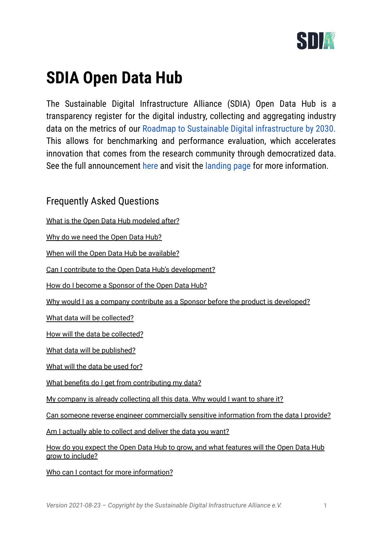

# **SDIA Open Data Hub**

The Sustainable Digital Infrastructure Alliance (SDIA) Open Data Hub is a transparency register for the digital industry, collecting and aggregating industry data on the metrics of our Roadmap to Sustainable Digital [infrastructure](http://sdialliance.org/roadmap) by 2030. This allows for benchmarking and performance evaluation, which accelerates innovation that comes from the research community through democratized data. See the full announcement [here](https://blog.sdialliance.org/announcing-the-sdia-open-data-hub) and visit the [landing](https://l.sdialliance.org/sdia-open-data-hub) page for more information.

# Frequently Asked Questions

What is the Open Data Hub [modeled](#page-1-0) after?

Why do we need the [Open](#page-1-1) Data Hub?

When will the Open Data Hub be [available?](#page-1-2)

Can I contribute to the Open Data Hub's [development?](#page-1-3)

How do I become a [Sponsor](#page-1-4) of the Open Data Hub?

Why would I as a company contribute as a Sponsor before the product is [developed?](#page-2-0)

What data will be [collected?](#page-2-1)

How will the data be [collected?](#page-2-2)

What data will be [published?](#page-3-0)

[What](#page-3-1) will the data be used for?

What benefits do I get from [contributing](#page-3-2) my data?

My company is already [collecting](#page-4-0) all this data. Why would I want to share it?

Can someone reverse engineer [commercially](#page-4-1) sensitive information from the data I provide?

Am I [actually](#page-4-2) able to collect and deliver the data you want?

How do you expect the Open Data Hub to grow, and what [features](#page-5-0) will the Open Data Hub grow to [include?](#page-5-0)

Who can I contact for more [information?](#page-5-1)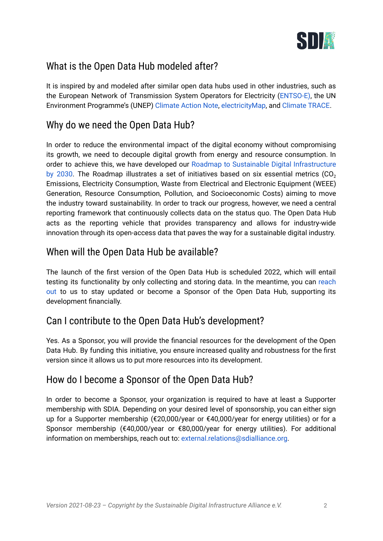

# <span id="page-1-0"></span>What is the Open Data Hub modeled after?

It is inspired by and modeled after similar open data hubs used in other industries, such as the European Network of Transmission System Operators for Electricity ([ENTSO-E\)](https://www.entsoe.eu/), the UN Environment Programme's (UNEP) [Climate](https://www.unep.org/explore-topics/climate-change/what-we-do/climate-action-note) Action Note, [electricityMap,](https://www.electricitymap.org/map) and [Climate](https://www.climatetrace.org/) TRACE.

# <span id="page-1-1"></span>Why do we need the Open Data Hub?

In order to reduce the environmental impact of the digital economy without compromising its growth, we need to decouple digital growth from energy and resource consumption. In order to achieve this, we have developed our Roadmap to Sustainable Digital [Infrastructure](https://sdialliance.org/roadmap) by [2030.](https://sdialliance.org/roadmap) The Roadmap illustrates a set of initiatives based on six essential metrics  $(CO<sub>2</sub>)$ Emissions, Electricity Consumption, Waste from Electrical and Electronic Equipment (WEEE) Generation, Resource Consumption, Pollution, and Socioeconomic Costs) aiming to move the industry toward sustainability. In order to track our progress, however, we need a central reporting framework that continuously collects data on the status quo. The Open Data Hub acts as the reporting vehicle that provides transparency and allows for industry-wide innovation through its open-access data that paves the way for a sustainable digital industry.

# <span id="page-1-2"></span>When will the Open Data Hub be available?

The launch of the first version of the Open Data Hub is scheduled 2022, which will entail testing its functionality by only collecting and storing data. In the meantime, you can [reach](mailto:external.relations@sdialliance.org) [out](mailto:external.relations@sdialliance.org) to us to stay updated or become a Sponsor of the Open Data Hub, supporting its development financially.

# <span id="page-1-3"></span>Can I contribute to the Open Data Hub's development?

Yes. As a Sponsor, you will provide the financial resources for the development of the Open Data Hub. By funding this initiative, you ensure increased quality and robustness for the first version since it allows us to put more resources into its development.

# <span id="page-1-4"></span>How do I become a Sponsor of the Open Data Hub?

In order to become a Sponsor, your organization is required to have at least a Supporter membership with SDIA. Depending on your desired level of sponsorship, you can either sign up for a Supporter membership (€20,000/year or €40,000/year for energy utilities) or for a Sponsor membership (€40,000/year or €80,000/year for energy utilities). For additional information on memberships, reach out to: [external.relations@sdialliance.org](mailto:external.relations@sdialliance.org).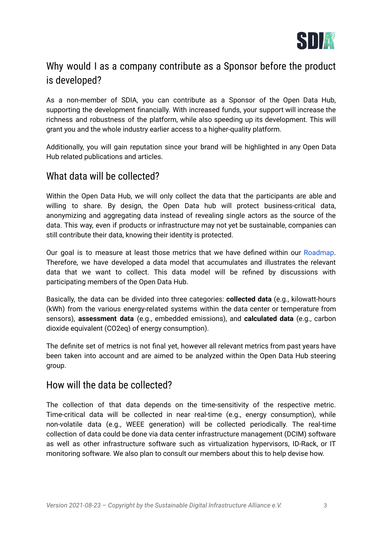

# <span id="page-2-0"></span>Why would I as a company contribute as a Sponsor before the product is developed?

As a non-member of SDIA, you can contribute as a Sponsor of the Open Data Hub, supporting the development financially. With increased funds, your support will increase the richness and robustness of the platform, while also speeding up its development. This will grant you and the whole industry earlier access to a higher-quality platform.

Additionally, you will gain reputation since your brand will be highlighted in any Open Data Hub related publications and articles.

## <span id="page-2-1"></span>What data will be collected?

Within the Open Data Hub, we will only collect the data that the participants are able and willing to share. By design, the Open Data hub will protect business-critical data, anonymizing and aggregating data instead of revealing single actors as the source of the data. This way, even if products or infrastructure may not yet be sustainable, companies can still contribute their data, knowing their identity is protected.

Our goal is to measure at least those metrics that we have defined within our [Roadmap.](https://sdialliance.org/roadmap) Therefore, we have developed a data model that accumulates and illustrates the relevant data that we want to collect. This data model will be refined by discussions with participating members of the Open Data Hub.

Basically, the data can be divided into three categories: **collected data** (e.g., kilowatt-hours (kWh) from the various energy-related systems within the data center or temperature from sensors), **assessment data** (e.g., embedded emissions), and **calculated data** (e.g., carbon dioxide equivalent (CO2eq) of energy consumption).

The definite set of metrics is not final yet, however all relevant metrics from past years have been taken into account and are aimed to be analyzed within the Open Data Hub steering group.

#### <span id="page-2-2"></span>How will the data be collected?

The collection of that data depends on the time-sensitivity of the respective metric. Time-critical data will be collected in near real-time (e.g., energy consumption), while non-volatile data (e.g., WEEE generation) will be collected periodically. The real-time collection of data could be done via data center infrastructure management (DCIM) software as well as other infrastructure software such as virtualization hypervisors, ID-Rack, or IT monitoring software. We also plan to consult our members about this to help devise how.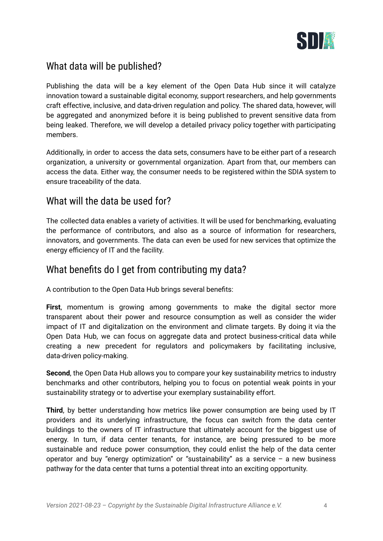

# <span id="page-3-0"></span>What data will be published?

Publishing the data will be a key element of the Open Data Hub since it will catalyze innovation toward a sustainable digital economy, support researchers, and help governments craft effective, inclusive, and data-driven regulation and policy. The shared data, however, will be aggregated and anonymized before it is being published to prevent sensitive data from being leaked. Therefore, we will develop a detailed privacy policy together with participating members.

Additionally, in order to access the data sets, consumers have to be either part of a research organization, a university or governmental organization. Apart from that, our members can access the data. Either way, the consumer needs to be registered within the SDIA system to ensure traceability of the data.

## <span id="page-3-1"></span>What will the data be used for?

The collected data enables a variety of activities. It will be used for benchmarking, evaluating the performance of contributors, and also as a source of information for researchers, innovators, and governments. The data can even be used for new services that optimize the energy efficiency of IT and the facility.

## <span id="page-3-2"></span>What benefits do I get from contributing my data?

A contribution to the Open Data Hub brings several benefits:

**First**, momentum is growing among governments to make the digital sector more transparent about their power and resource consumption as well as consider the wider impact of IT and digitalization on the environment and climate targets. By doing it via the Open Data Hub, we can focus on aggregate data and protect business-critical data while creating a new precedent for regulators and policymakers by facilitating inclusive, data-driven policy-making.

**Second**, the Open Data Hub allows you to compare your key sustainability metrics to industry benchmarks and other contributors, helping you to focus on potential weak points in your sustainability strategy or to advertise your exemplary sustainability effort.

**Third**, by better understanding how metrics like power consumption are being used by IT providers and its underlying infrastructure, the focus can switch from the data center buildings to the owners of IT infrastructure that ultimately account for the biggest use of energy. In turn, if data center tenants, for instance, are being pressured to be more sustainable and reduce power consumption, they could enlist the help of the data center operator and buy "energy optimization" or "sustainability" as a service  $-$  a new business pathway for the data center that turns a potential threat into an exciting opportunity.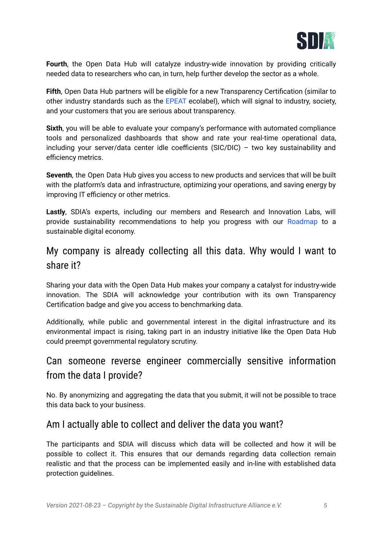

**Fourth**, the Open Data Hub will catalyze industry-wide innovation by providing critically needed data to researchers who can, in turn, help further develop the sector as a whole.

**Fifth**, Open Data Hub partners will be eligible for a new Transparency Certification (similar to other industry standards such as the [EPEAT](https://epeat.net/) ecolabel), which will signal to industry, society, and your customers that you are serious about transparency.

**Sixth**, you will be able to evaluate your company's performance with automated compliance tools and personalized dashboards that show and rate your real-time operational data, including your server/data center idle coefficients (SIC/DIC) – two key sustainability and efficiency metrics.

**Seventh**, the Open Data Hub gives you access to new products and services that will be built with the platform's data and infrastructure, optimizing your operations, and saving energy by improving IT efficiency or other metrics.

**Lastly**, SDIA's experts, including our members and Research and Innovation Labs, will provide sustainability recommendations to help you progress with our [Roadmap](https://sdialliance.org/roadmap) to a sustainable digital economy.

# <span id="page-4-0"></span>My company is already collecting all this data. Why would I want to share it?

Sharing your data with the Open Data Hub makes your company a catalyst for industry-wide innovation. The SDIA will acknowledge your contribution with its own Transparency Certification badge and give you access to benchmarking data.

Additionally, while public and governmental interest in the digital infrastructure and its environmental impact is rising, taking part in an industry initiative like the Open Data Hub could preempt governmental regulatory scrutiny.

# <span id="page-4-1"></span>Can someone reverse engineer commercially sensitive information from the data I provide?

No. By anonymizing and aggregating the data that you submit, it will not be possible to trace this data back to your business.

# <span id="page-4-2"></span>Am I actually able to collect and deliver the data you want?

The participants and SDIA will discuss which data will be collected and how it will be possible to collect it. This ensures that our demands regarding data collection remain realistic and that the process can be implemented easily and in-line with established data protection guidelines.